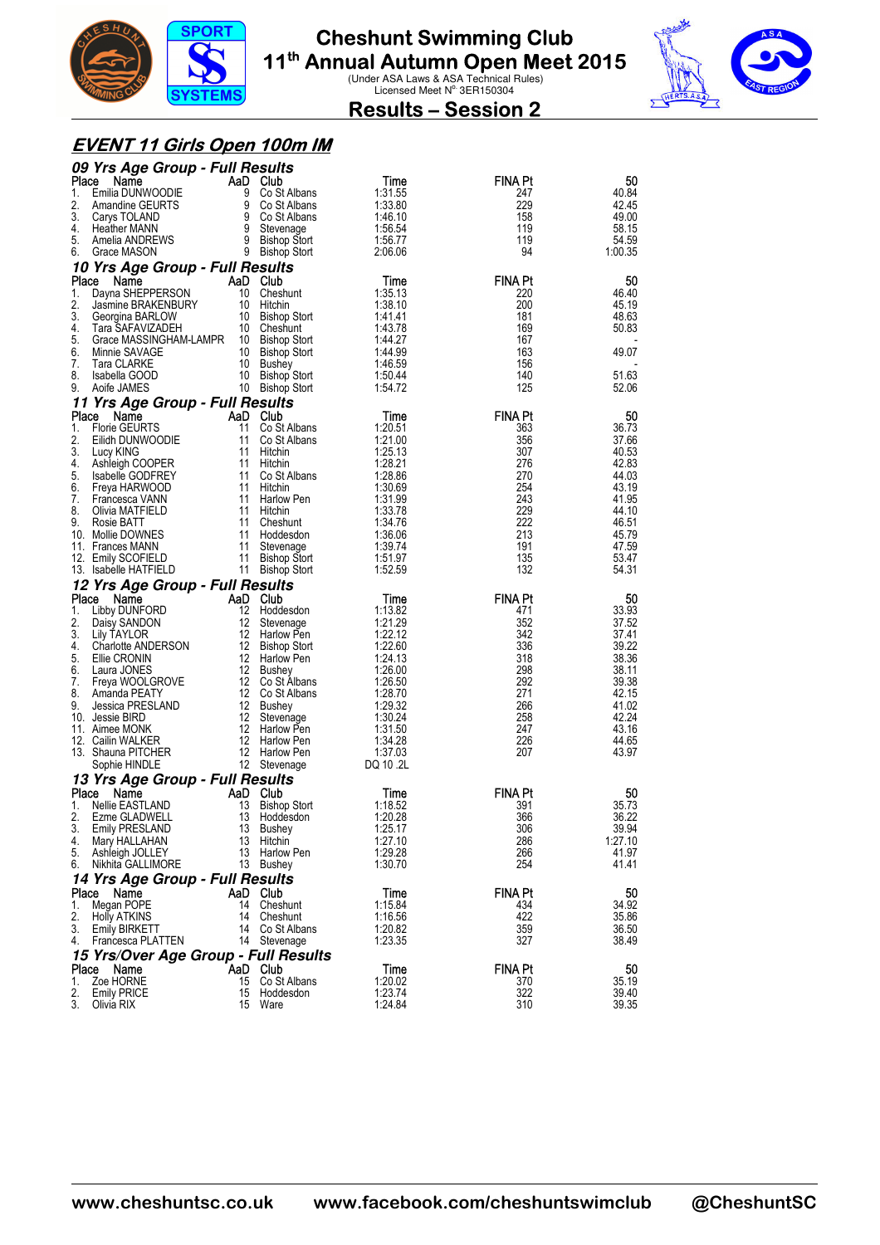



### **Results – Session 2**

#### **EVENT 11 Girls Open 100m IM**

|             | 09 Yrs Age Group - Full Results             |                                              |                    |                       |                |
|-------------|---------------------------------------------|----------------------------------------------|--------------------|-----------------------|----------------|
| Place       | Name                                        | AaD Club                                     | Time               | FINA Pt               | 50             |
| 1.<br>2.    | Emilia DUNWOODIE                            | 9<br>Co St Albans<br>9 Co St Albans          | 1:31.55<br>1:33.80 | 247<br>229            | 40.84<br>42.45 |
| 3.          | Amandine GEURTS<br>Carys TOLAND             | 9 Co St Albans                               | 1:46.10            | 158                   | 49.00          |
| 4.          | <b>Heather MANN</b>                         | 9 Stevenage                                  | 1:56.54            | 119                   | 58.15          |
| 5.          | Amelia ANDREWS                              | 9 Bishop Stort                               | 1:56.77            | 119                   | 54.59          |
| 6.          | Grace MASON                                 | 9 Bishop Stort                               | 2:06.06            | 94                    | 1:00.35        |
|             | 10 Yrs Age Group - Full Results             |                                              |                    |                       |                |
| Place<br>1. | Name<br>Dayna SHEPPERSON                    | AaD Club<br>10<br>Cheshunt                   | Time<br>1:35.13    | <b>FINA Pt</b><br>220 | 50<br>46.40    |
| 2.          | Jasmine BRAKENBURY                          | 10 Hitchin                                   | 1:38.10            | 200                   | 45.19          |
| 3.          | Georgina BARLOW                             | 10 Bishop Stort                              | 1:41.41            | 181                   | 48.63          |
| 4.          | Tara SAFAVIZADEH                            | 10 Cheshunt                                  | 1:43.78            | 169                   | 50.83          |
| 5.          | Grace MASSINGHAM-LAMPR 10 Bishop Stort      |                                              | 1:44.27            | 167                   |                |
| 6.<br>7.    | Minnie SAVAGE<br>Tara CLARKE                | 10 Bishop Stort<br>10 Bushey                 | 1:44.99<br>1:46.59 | 163<br>156            | 49.07          |
| 8.          | Isabella GOOD                               | 10 Bishop Stort                              | 1:50.44            | 140                   | 51.63          |
| 9.          | Aoife JAMES                                 | 10 Bishop Stort                              | 1:54.72            | 125                   | 52.06          |
|             | 11 Yrs Age Group - Full Results             |                                              |                    |                       |                |
| Place       | Name                                        | AaD Club                                     | Time               | <b>FINA Pt</b>        | 50             |
| 1.<br>2.    | <b>Florie GEURTS</b>                        | 11<br>Co St Albans<br>11                     | 1:20.51            | 363                   | 36.73          |
| 3.          | Eilidh DUNWOODIE<br>Lucy KING               | Co St Albans<br>11<br>Hitchin                | 1:21.00<br>1:25.13 | 356<br>307            | 37.66<br>40.53 |
| 4.          | Ashleigh COOPER                             | 11 Hitchin                                   | 1:28.21            | 276                   | 42.83          |
| 5.          | Isabelle GODFREY                            | 11 Co St Albans                              | 1:28.86            | 270                   | 44.03          |
| 6.          | Freya HARWOOD                               | 11<br>Hitchin                                | 1:30.69            | 254                   | 43.19          |
| 7.<br>8.    | Francesca VANN<br>Olivia MATFIELD           | 11 Harlow Pen<br>11 Hitchin                  | 1:31.99<br>1:33.78 | 243<br>229            | 41.95<br>44.10 |
| 9.          | Rosie BATT                                  | 11<br>Cheshunt                               | 1:34.76            | 222                   | 46.51          |
|             | 10. Mollie DOWNES                           | 11 Hoddesdon                                 | 1:36.06            | 213                   | 45.79          |
|             | 11. Frances MANN                            | 11<br>Stevenage                              | 1:39.74            | 191                   | 47.59          |
|             | 12. Emily SCOFIELD<br>13. Isabelle HATFIELD | 11<br><b>Bishop Stort</b><br>11 Bishop Stort | 1:51.97<br>1:52.59 | 135<br>132            | 53.47<br>54.31 |
|             |                                             |                                              |                    |                       |                |
|             |                                             |                                              |                    |                       |                |
|             | 12 Yrs Age Group - Full Results             |                                              |                    |                       |                |
| Place<br>1. | Name<br>Libby DUNFORD                       | AaD Club<br>12<br>Hoddesdon                  | Time<br>1:13.82    | <b>FINA Pt</b><br>471 | 50<br>33.93    |
| 2.          | Daisy SANDON                                | 12<br>Stevenage                              | 1:21.29            | 352                   | 37.52          |
| 3.          | Lily TAYLOR                                 | 12 Harlow Pen                                | 1:22.12            | 342                   | 37.41          |
| 4.          | Charlotte ANDERSON                          | 12 Bishop Stort                              | 1:22.60            | 336                   | 39.22          |
| 5.<br>6.    | Ellie CRONIN<br>Laura JONES                 | 12 Harlow Pen                                | 1:24.13<br>1:26.00 | 318<br>298            | 38.36          |
| 7.          | Freya WOOLGROVE                             | 12 Bushey<br>12 Co St Albans                 | 1:26.50            | 292                   | 38.11<br>39.38 |
| 8.          | Amanda PEATY                                | 12 Co St Albans                              | 1:28.70            | 271                   | 42.15          |
| 9.          | Jessica PRESLAND                            | 12 Bushey                                    | 1:29.32            | 266                   | 41.02          |
|             | 10. Jessie BIRD                             | 12<br>Stevenage                              | 1:30.24            | 258                   | 42.24          |
|             | 11. Aimee MONK<br>12. Cailin WALKER         | 12<br>Harlow Pen<br>12 Harlow Pen            | 1:31.50<br>1:34.28 | 247<br>226            | 43.16<br>44.65 |
|             | 13. Shauna PITCHER                          | 12 Harlow Pen                                | 1:37.03            | 207                   | 43.97          |
|             | Sophie HINDLE                               | 12 Stevenage                                 | DQ 10 .2L          |                       |                |
|             | 13 Yrs Age Group - Full Results             |                                              |                    |                       |                |
| Place       | Name                                        | AaD Club                                     | Time               | FINA Pt               | 50             |
| 1.<br>2.    | Nellie EASTLAND<br>Ezme GLADWELL            | 13<br><b>Bishop Stort</b><br>13              | 1:18.52<br>1:20.28 | 391<br>366            | 35.73<br>36.22 |
| 3.          | <b>Emily PRESLAND</b>                       | Hoddesdon<br>13<br>Bushey                    | 1:25.17            | 306                   | 39.94          |
| 4.          | Mary HALLAHAN                               | 13<br>Hitchin                                | 1:27.10            | 286                   | 1:27.10        |
| 5.          | Ashleigh JOLLEY                             | 13<br>Harlow Pen                             | 1:29.28            | 266                   | 41.97          |
| 6.          | Nikhita GALLIMORE                           | 13 Bushey                                    | 1:30.70            | 254                   | 41.41          |
|             | 14 Yrs Age Group - Full Results             | AaD Club                                     | Time               | <b>FINA Pt</b>        | 50             |
| 1.          | Place Name<br>Megan POPE                    | 14<br>Cheshunt                               | 1:15.84            | 434                   | 34.92          |
| 2.          | <b>Holly ATKINS</b>                         | 14<br>Cheshunt                               | 1:16.56            | 422                   | 35.86          |
| 3.          | Emily BIRKETT                               | 14<br>Co St Albans                           | 1:20.82            | 359                   | 36.50          |
| 4.          | Francesca PLATTEN                           | 14 Stevenage                                 | 1:23.35            | 327                   | 38.49          |
|             | 15 Yrs/Over Age Group - Full Results        |                                              |                    |                       |                |
| Place<br>1. | AaD<br>Name<br>Zoe HORNE                    | Club<br>15<br>Co St Albans                   | Time<br>1:20.02    | <b>FINA Pt</b><br>370 | 50<br>35.19    |
| 2.<br>3.    | <b>Emily PRICE</b><br>Olivia RIX            | 15<br>Hoddesdon<br>15<br>Ware                | 1:23.74<br>1:24.84 | 322<br>310            | 39.40<br>39.35 |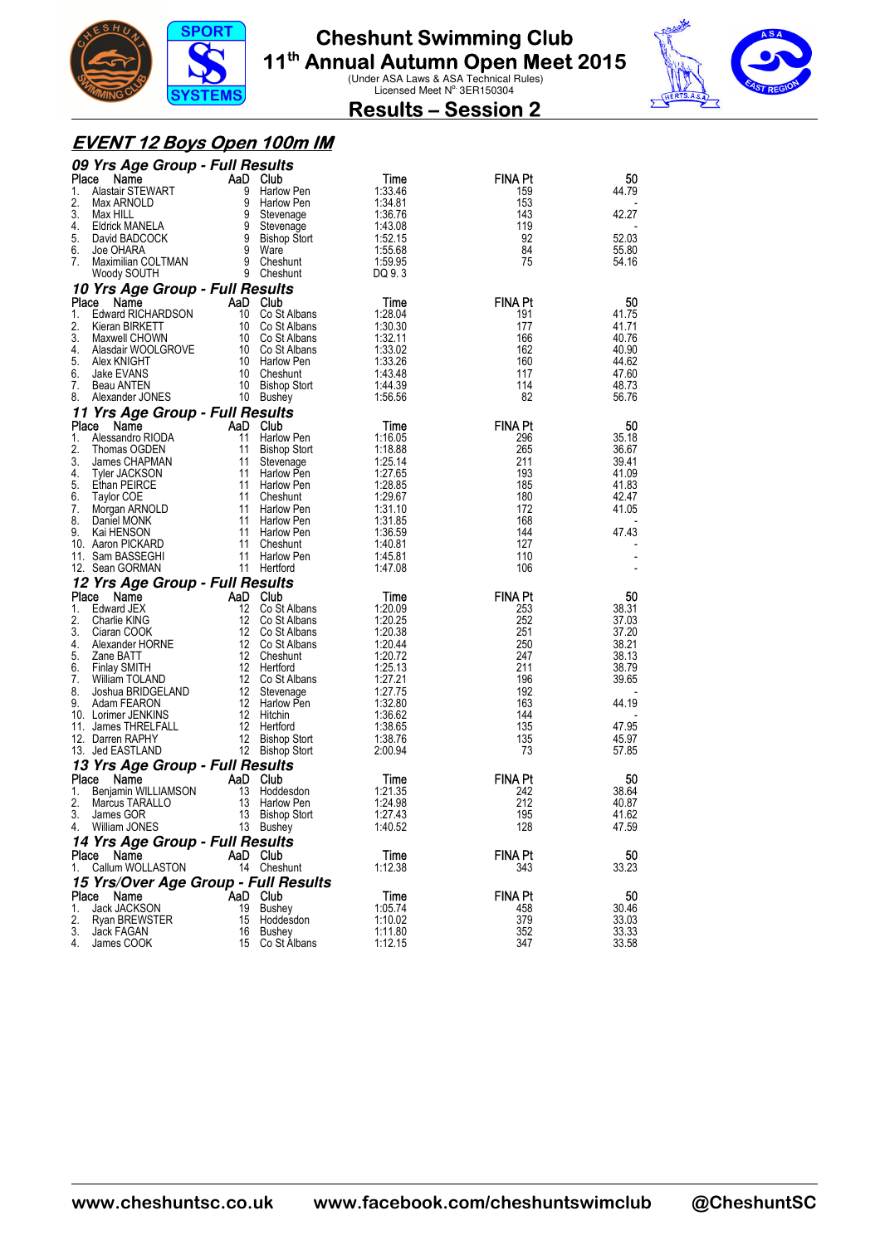



### **Results – Session 2**

#### **EVENT 12 Boys Open 100m IM**

| 09 Yrs Age Group - Full Results               |                   |                                    |                    |                |                |
|-----------------------------------------------|-------------------|------------------------------------|--------------------|----------------|----------------|
| Place<br>Name                                 | AaD Club          |                                    | Time               | <b>FINA Pt</b> | 50             |
| Alastair STEWART<br>1.                        | 9                 | Harlow Pen                         | 1:33.46            | 159            | 44.79          |
| 2.<br>Max ARNOLD                              | 9                 | <b>Harlow Pen</b>                  | 1:34.81            | 153            |                |
| 3.<br>Max HILL                                | 9                 | Stevenage                          | 1:36.76            | 143            | 42.27          |
| 4.<br>Eldrick MANELA                          | 9                 | Stevenage                          | 1:43.08            | 119            |                |
| 5.<br>David BADCOCK                           | 9                 | <b>Bishop Stort</b>                | 1:52.15            | 92             | 52.03          |
| 6.<br>Joe OHARA                               | 9<br>9            | Ware                               | 1:55.68            | 84             | 55.80          |
| 7.<br>Maximilian COLTMAN                      |                   | Cheshunt<br>9 Cheshunt             | 1:59.95<br>DQ 9.3  | 75             | 54.16          |
| Woody SOUTH                                   |                   |                                    |                    |                |                |
| 10 Yrs Age Group - Full Results               |                   |                                    |                    |                |                |
| Place<br>Name                                 | AaD Club          |                                    | Time               | <b>FINA Pt</b> | 50             |
| <b>Edward RICHARDSON</b><br>1.<br>2.          |                   | 10 Co St Albans                    | 1:28.04            | 191            | 41.75<br>41.71 |
| Kieran BIRKETT<br>3.<br>Maxwell CHOWN         |                   | 10 Co St Albans<br>10 Co St Albans | 1:30.30<br>1:32.11 | 177<br>166     | 40.76          |
| 4.<br>Alasdair WOOLGROVE                      |                   | 10 Co St Albans                    | 1:33.02            | 162            | 40.90          |
| 5.<br>Alex KNIGHT                             |                   | 10 Harlow Pen                      | 1:33.26            | 160            | 44.62          |
| 6.<br>Jake EVANS                              |                   | 10 Cheshunt                        | 1:43.48            | 117            | 47.60          |
| 7.<br>Beau ANTEN                              | 10                | <b>Bishop Stort</b>                | 1:44.39            | 114            | 48.73          |
| 8.<br>Alexander JONES                         |                   | 10 Bushey                          | 1:56.56            | 82             | 56.76          |
| 11 Yrs Age Group - Full Results               |                   |                                    |                    |                |                |
| Place<br>Name                                 | AaD               | Club                               | Time               | <b>FINA Pt</b> | 50             |
| 1.<br>Alessandro RIODA                        | 11                | Harlow Pen                         | 1:16.05            | 296            | 35.18          |
| 2.<br>Thomas OGDEN                            | 11                | <b>Bishop Stort</b>                | 1:18.88            | 265            | 36.67          |
| 3.<br>James CHAPMAN                           | 11                | Stevenage                          | 1:25.14            | 211            | 39.41          |
| 4.<br><b>Tyler JACKSON</b>                    | 11                | Harlow Pen                         | 1:27.65            | 193            | 41.09          |
| 5.<br>Ethan PEIRCE                            | 11                | Harlow Pen                         | 1:28.85            | 185            | 41.83          |
| 6.<br><b>Taylor COE</b>                       | 11                | Cheshunt                           | 1.29.67            | 180            | 42.47          |
| 7.<br>Morgan ARNOLD                           | 11                | Harlow Pen                         | 1:31.10            | 172            | 41.05          |
| 8.<br>Daniel MONK                             | 11                | Harlow Pen                         | 1:31.85            | 168            |                |
| 9.<br>Kai HENSON<br>10. Aaron PICKARD         | 11<br>11          | Harlow Pen<br>Cheshunt             | 1:36.59<br>1:40.81 | 144<br>127     | 47.43          |
| 11. Sam BASSEGHI                              | 11                | Harlow Pen                         | 1:45.81            | 110            |                |
| 12. Sean GORMAN                               |                   | 11 Hertford                        | 1:47.08            | 106            |                |
| 12 Yrs Age Group - Full Results               |                   |                                    |                    |                |                |
| Place<br>Name                                 | AaD               | Club                               | Time               | <b>FINA Pt</b> | 50             |
| Edward JEX<br>1.                              | $12 \overline{ }$ | Co St Albans                       | 1:20.09            | 253            | 38.31          |
| 2.<br>Charlie KING                            | 12                | Co St Albans                       | 1:20.25            | 252            | 37.03          |
| 3.<br>Ciaran COOK                             | 12                | Co St Albans                       | 1:20.38            | 251            | 37.20          |
| 4.<br>Alexander HORNE                         |                   | 12 Co St Albans                    | 1:20.44            | 250            | 38.21          |
| 5.<br>Zane BATT                               | 12 <sup>12</sup>  | Cheshunt                           | 1:20.72            | 247            | 38.13          |
| 6.<br><b>Finlay SMITH</b>                     |                   | 12 Hertford                        | 1:25.13            | 211            | 38.79          |
| 7.<br>William TOLAND                          | 12                | Co St Albans                       | 1:27.21            | 196            | 39.65          |
| 8.<br>Joshua BRIDGELAND                       | 12                | Stevenage                          | 1:27.75            | 192            |                |
| 9.<br>Adam FEARON                             | 12 <sup>12</sup>  | 12 Harlow Pen                      | 1:32.80            | 163<br>144     | 44.19          |
| 10. Lorimer JENKINS<br>James THRELFALL<br>11. | 12                | Hitchin<br>Hertford                | 1:36.62<br>1:38.65 | 135            | 47.95          |
| 12. Darren RAPHY                              | 12                | Bishop Stort                       | 1:38.76            | 135            | 45.97          |
| 13. Jed EASTLAND                              |                   | 12 Bishop Stort                    | 2:00.94            | 73             | 57.85          |
| 13 Yrs Age Group - Full Results               |                   |                                    |                    |                |                |
| Place<br>Name                                 | AaD               | Club                               | Time               | FINA Pt        | 50             |
| Benjamin WILLIAMSON<br>1.                     | 13                | Hoddesdon                          | 1:21.35            | 242            | 38.64          |
| 2.<br>Marcus TARALLO                          | 13                | <b>Harlow Pen</b>                  | 1:24.98            | 212            | 40.87          |
| 3.<br>James GOR                               | 13                | <b>Bishop Stort</b>                | 1:27.43            | 195            | 41.62          |
| William JONES<br>4.                           |                   | 13 Bushey                          | 1:40.52            | 128            | 47.59          |
| 14 Yrs Age Group - Full Results               |                   |                                    |                    |                |                |
| Name<br>Place                                 | AaD Club          |                                    | Time               | <b>FINA Pt</b> | 50             |
| Callum WOLLASTON<br>1.                        |                   | 14 Cheshunt                        | 1:12.38            | 343            | 33.23          |
| 15 Yrs/Over Age Group - Full Results          |                   |                                    |                    |                |                |
| Place<br>Name                                 | AaD Club          |                                    | Time               | <b>FINA Pt</b> | 50             |
| 1.<br>Jack JACKSON                            |                   | 19 Bushey                          | 1:05.74            | 458            | 30.46          |
| 2.<br><b>Ryan BREWSTER</b>                    |                   | 15 Hoddesdon                       | 1:10.02            | 379            | 33.03          |
| 3.<br>Jack FAGAN                              | 16                | Bushey                             | 1:11.80            | 352            | 33.33          |
| 4.<br>James COOK                              |                   | 15 Co St Albans                    | 1:12.15            | 347            | 33.58          |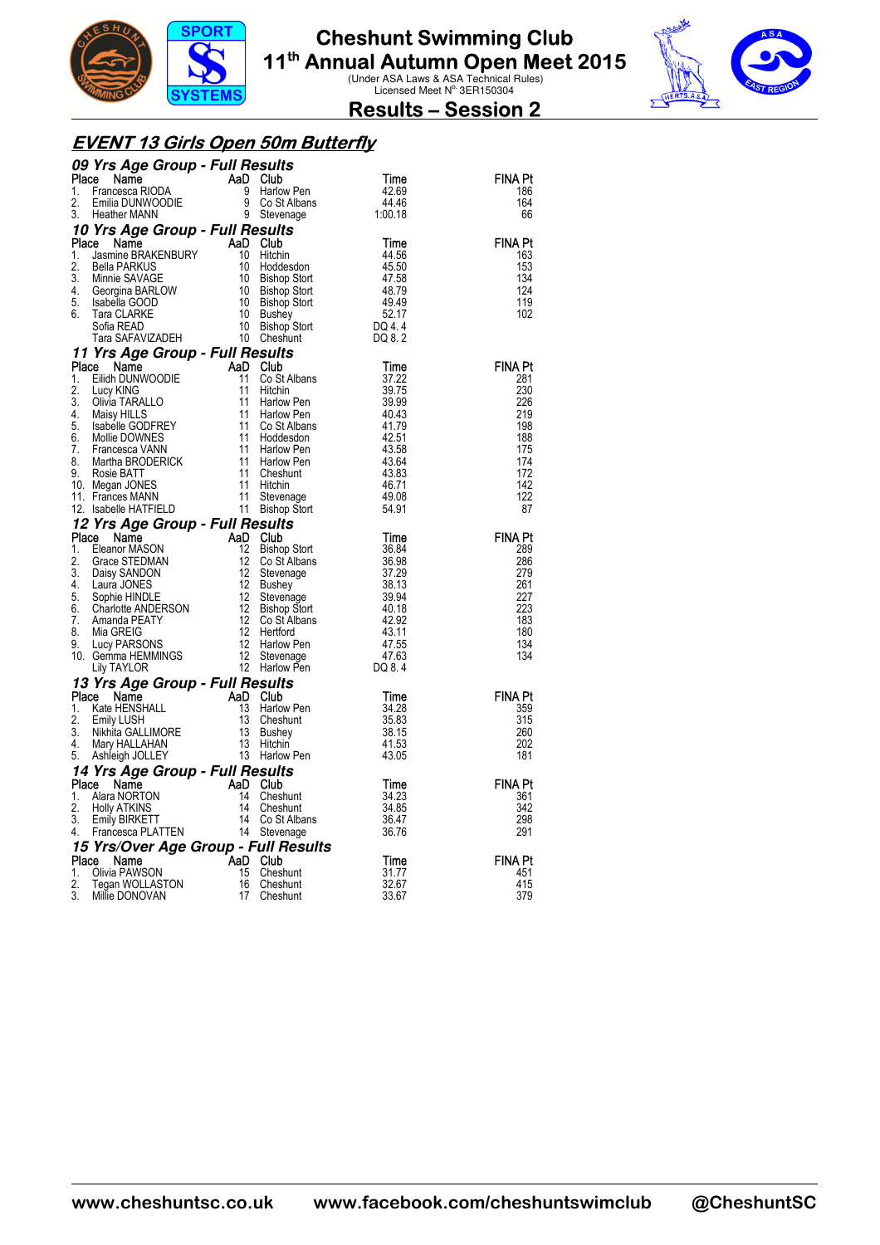



#### **Results – Session 2**

#### **EVENT 13 Girls Open 50m Butterfly**

|             | 09 Yrs Age Group - Full Results                                                                                                                                                                                                                                                         |           |                                      |                 |                |
|-------------|-----------------------------------------------------------------------------------------------------------------------------------------------------------------------------------------------------------------------------------------------------------------------------------------|-----------|--------------------------------------|-----------------|----------------|
| Place<br>1. | Ce Name<br>Francesca RIODA<br>Emilia DUNWOODIE 9<br>Heather MANN 9                                                                                                                                                                                                                      |           | Club<br>Harlow Pen                   | Time            | FINA Pt<br>186 |
| 2.          |                                                                                                                                                                                                                                                                                         |           | Co St Albans                         | 42.69<br>44.46  | 164            |
| 3.          |                                                                                                                                                                                                                                                                                         |           | 9 Stevenage                          | 1:00.18         | 66             |
|             | 10 Yrs Age Group - Full Results                                                                                                                                                                                                                                                         |           |                                      |                 |                |
| Place       | Name                                                                                                                                                                                                                                                                                    | AaD Club  |                                      | Time            | <b>FINA Pt</b> |
| 1.<br>2.    | Jasmine BRAKENBURY<br>Jasmine BRAKENBURY<br>Polla PARKUS<br><b>Bella PARKUS</b>                                                                                                                                                                                                         | 10<br>10  | Hitchin<br>Hoddesdon                 | 44.56<br>45.50  | 163<br>153     |
| 3.          | Minnie SAVAGE                                                                                                                                                                                                                                                                           | 10        | <b>Bishop Stort</b>                  | 47.58           | 134            |
| 4.          |                                                                                                                                                                                                                                                                                         |           | Bishop Stort                         | 48.79           | 124            |
| 5.<br>6.    |                                                                                                                                                                                                                                                                                         |           | <b>Bishop Stort</b>                  | 49.49           | 119            |
|             |                                                                                                                                                                                                                                                                                         |           | <b>Bushey</b><br><b>Bishop Stort</b> | 52.17<br>DQ 4.4 | 102            |
|             | Minnie SAVAGE<br>Georgina BARLOW 10<br>Isabella GOOD 10<br>Tara CLARKE 10<br>Sofia READ 10<br>Tara SAFAVIZADEH 10                                                                                                                                                                       |           | Cheshunt                             | DQ 8.2          |                |
|             | 11 Yrs Age Group - Full Results                                                                                                                                                                                                                                                         |           |                                      |                 |                |
| Place       | Name                                                                                                                                                                                                                                                                                    |           | AaD Club                             | Time            | <b>FINA Pt</b> |
| 1.<br>2.    | Eilidh DUNWOODIE                                                                                                                                                                                                                                                                        | 11        | Co St Albans<br>Hitchin              | 37.22<br>39.75  | 281<br>230     |
| 3.          |                                                                                                                                                                                                                                                                                         |           | Harlow Pen                           | 39.99           | 226            |
| 4.          |                                                                                                                                                                                                                                                                                         |           | Harlow Pen                           | 40.43           | 219            |
| 5.          |                                                                                                                                                                                                                                                                                         |           | Co St Albans                         | 41.79           | 198            |
| 6.<br>7.    |                                                                                                                                                                                                                                                                                         |           | Hoddesdon<br>Harlow Pen              | 42.51<br>43.58  | 188<br>175     |
| 8.          |                                                                                                                                                                                                                                                                                         |           | Harlow Pen                           | 43.64           | 174            |
| 9.          |                                                                                                                                                                                                                                                                                         |           | Cheshunt                             | 43.83           | 172            |
|             | 10. Megan JONES<br>11. Frances MANN                                                                                                                                                                                                                                                     |           | Hitchin                              | 46.71<br>49.08  | 142<br>122     |
|             | Eilian Doive<br>Lucy KING<br>Olivia TARALLO<br>Maisy HILLS<br>Maisy HILLS<br>ISBN 6000-111<br>Sabelle GODFREY<br>TARGESCA VANN<br>Martha BRODERICK<br>Martha BRODERICK<br>111<br>Magan JONES<br>Frances MANN<br>ISBN 111<br>Frances MANN<br>ISBN 111<br>Sabell<br>12. Isabelle HATFIELD |           | Stevenage<br>Bishop Stort            | 54.91           | 87             |
|             | 12 Yrs Age Group - Full Results                                                                                                                                                                                                                                                         |           |                                      |                 |                |
| Place       | Name                                                                                                                                                                                                                                                                                    | AaD       | Club                                 | Time            | <b>FINA Pt</b> |
| 1.          | Eleanor MASON                                                                                                                                                                                                                                                                           | 12        | <b>Bishop Stort</b>                  | 36.84           | 289            |
| 2.<br>3.    | Grace STEDMAN<br>Daisy SANDON                                                                                                                                                                                                                                                           | 12<br>-12 | Co St Albans<br>Stevenage            | 36.98<br>37.29  | 286<br>279     |
| 4.          | Laura JONES                                                                                                                                                                                                                                                                             | -12       | <b>Bushey</b>                        | 38.13           | 261            |
| 5.          | Sophie HINDLE                                                                                                                                                                                                                                                                           | 12        | Stevenage                            | 39.94           | 227            |
|             |                                                                                                                                                                                                                                                                                         |           | <b>Bishop Stort</b><br>Co St Albans  | 40.18<br>42.92  | 223<br>183     |
|             |                                                                                                                                                                                                                                                                                         |           | Hertford                             | 43.11           | 180            |
|             |                                                                                                                                                                                                                                                                                         |           | Harlow Pen                           | 47.55           | 134            |
|             | 3. Super Himpshare<br>6. Charlotte ANDERSON<br>7. Amanda PEATY<br>8. Mia GREIG<br>9. Lucy PARSONS<br>12 German HEMMINGS<br>12 Cily TAYLOR<br>12                                                                                                                                         |           | Stevenage                            | 47.63           | 134            |
|             | Lily TAYLOR                                                                                                                                                                                                                                                                             | 12        | Harlow Pen                           | DQ 8.4          |                |
| Place       | 13 Yrs Age Group - Full Results                                                                                                                                                                                                                                                         | AaD       | Club                                 | Time            | <b>FINA Pt</b> |
| 1.          | Private HENSHALL<br>Comme<br>Kate HENSHALL<br>Emily LUSH<br>Nikhita GALLIMORE<br>Nikhita GALLIMORE<br>Ashleigh JOLLEY                                                                                                                                                                   | 13        | Harlow Pen                           | 34.28           | 359            |
| 2.          |                                                                                                                                                                                                                                                                                         | 13        | Cheshunt                             | 35.83           | 315            |
| 3.<br>4.    |                                                                                                                                                                                                                                                                                         | 13<br>-13 | Bushey                               | 38.15           | 260<br>202     |
| 5.          | Ashleigh JOLLEY                                                                                                                                                                                                                                                                         |           | Hitchin<br>13 Harlow Pen             | 41.53<br>43.05  | 181            |
|             |                                                                                                                                                                                                                                                                                         |           |                                      |                 |                |
|             |                                                                                                                                                                                                                                                                                         |           |                                      |                 |                |
|             | 14 Yrs Age Group - Full Results<br>Place<br>Name                                                                                                                                                                                                                                        | AaD       | <b>Club</b>                          | Time            | <b>FINA Pt</b> |
| 1.          | Alara NORTON                                                                                                                                                                                                                                                                            | 14        | Cheshunt                             | 34.23           | 361            |
| 2.          | $\frac{1}{2}$<br><b>Holly ATKINS</b>                                                                                                                                                                                                                                                    | 14        | Cheshunt                             | 34.85           | 342            |
| 3.<br>4.    | <b>Emily BIRKETT</b>                                                                                                                                                                                                                                                                    | 14        | Co St Albans                         | 36.47           | 298<br>291     |
|             | Francesca PLATTEN                                                                                                                                                                                                                                                                       |           | 14 Stevenage                         | 36.76           |                |
| Place       | 15 Yrs/Over Age Group - Full Results<br>Name                                                                                                                                                                                                                                            | AaD       | Club                                 | Time            | <b>FINA Pt</b> |
| 1.          |                                                                                                                                                                                                                                                                                         | 15        | Cheshunt                             | 31.77           | 451            |
| 2.<br>3.    | ا<br>Tegan WOLLASTON<br>Millie DONOVAN                                                                                                                                                                                                                                                  | 16<br>17  | Cheshunt<br>Cheshunt                 | 32.67<br>33.67  | 415<br>379     |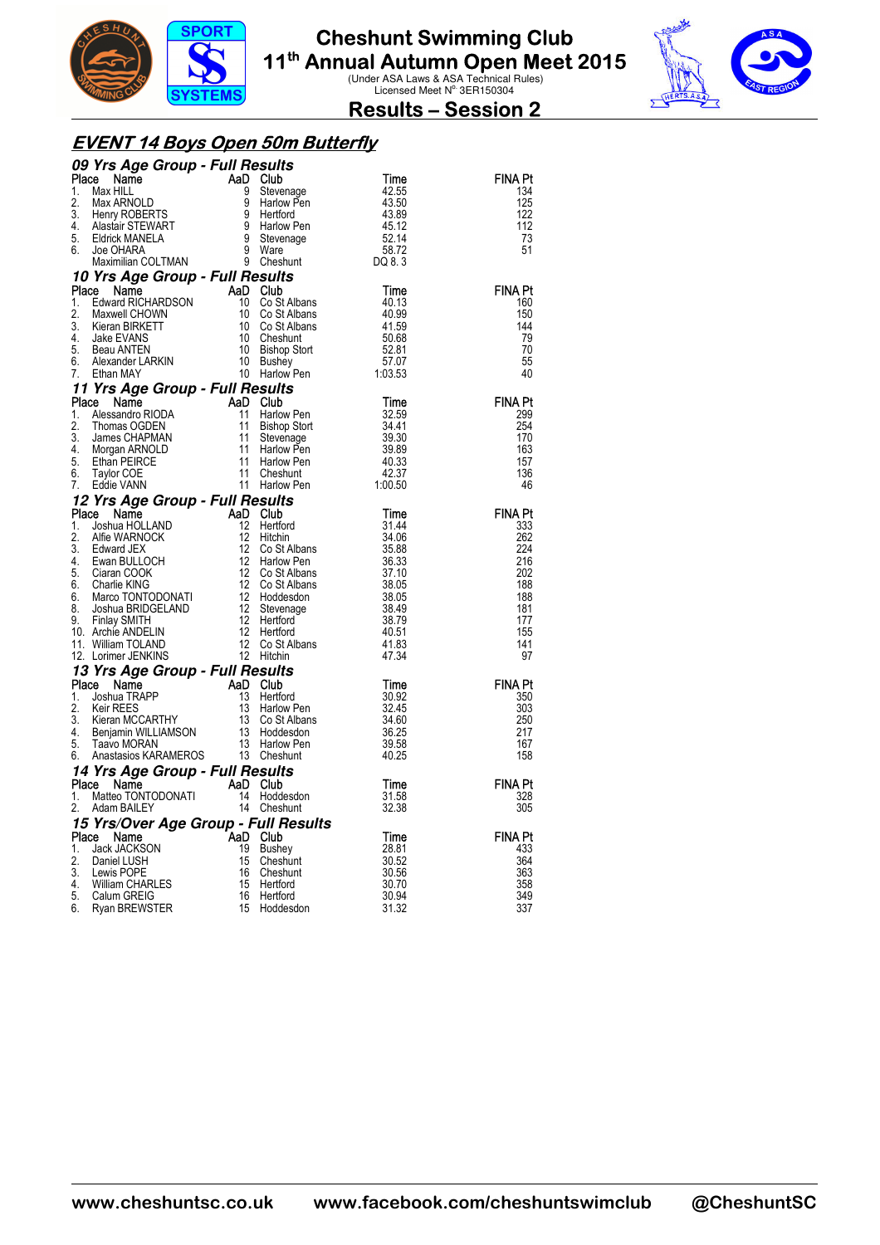



**Results – Session 2** 

#### **EVENT 14 Boys Open 50m Butterfly**

|             | 09 Yrs Age Group - Full Results                                                                                                                                                                                                                                                   |                       |                                  |                |                       |
|-------------|-----------------------------------------------------------------------------------------------------------------------------------------------------------------------------------------------------------------------------------------------------------------------------------|-----------------------|----------------------------------|----------------|-----------------------|
| Place       | <b>Principal Club</b><br><b>CREAD Club</b><br>Max HILL AD Club<br>Max HILL 9 Stevenage<br>Max ARNOLD 9 Harlow Pe<br>Henry ROBERTS 9 Harlow Pe<br>Henry ROBERTS 9 Harlow Pe<br>Eldrick MANELA 9 Stevenage<br>Joe OHARA 9 Ware<br>Maximilian COLTMAN 9 Ware<br>                     |                       |                                  | Time           | <b>FINA Pt</b>        |
| 1.          |                                                                                                                                                                                                                                                                                   |                       | Stevenage                        | 42.55          | 134                   |
| 2.          |                                                                                                                                                                                                                                                                                   |                       | Harlow Pen                       | 43.50          | 125                   |
| 3.<br>4.    |                                                                                                                                                                                                                                                                                   |                       |                                  | 43.89          | 122<br>112            |
| 5.          |                                                                                                                                                                                                                                                                                   |                       | Harlow Pen<br>Stevenage          | 45.12<br>52.14 | 73                    |
| 6.          |                                                                                                                                                                                                                                                                                   |                       |                                  | 58.72          | 51                    |
|             |                                                                                                                                                                                                                                                                                   |                       |                                  | DQ 8.3         |                       |
|             | <b>10 Yrs Age Group - Full Results<br/>Place Name AaD Club<br/>1. Edward RICHARDSON 10 Co St All<br/>2. Move CHOWN</b>                                                                                                                                                            |                       |                                  |                |                       |
| Place       |                                                                                                                                                                                                                                                                                   |                       |                                  | Time           | <b>FINA Pt</b>        |
| 1.          |                                                                                                                                                                                                                                                                                   |                       | Co St Albans                     | 40.13          | 160                   |
| 2.          |                                                                                                                                                                                                                                                                                   |                       | Co St Albans                     | 40.99          | 150                   |
| 3.<br>4     |                                                                                                                                                                                                                                                                                   |                       | 10 Co St Albans<br>Cheshunt      | 41.59<br>50.68 | 144<br>79             |
| 5.          |                                                                                                                                                                                                                                                                                   |                       | <b>Bishop Stort</b>              | 52.81          | 70                    |
| 6.          |                                                                                                                                                                                                                                                                                   |                       | Bushey                           | 57.07          | 55                    |
| 7.          | Edward Nubritistics<br>Maxwell CHOVIN<br>Kieran BIRKETT 10<br>Jake EVANS 10<br>Deau ANTEN 10<br>Alexander LARKIN 10<br>Then MAY 10                                                                                                                                                |                       | <b>Busilicy</b><br>Harlow Pen    | 1:03.53        | 40                    |
|             | 1 The Sammen Company of the Capture of the Captus Captus Captus (1997)<br>1 Alessandro RIODA (1998)<br>1 Alessandro RIODA (1998)<br>11 Bishop S<br>3. James CHAPMAN (1998)<br>11 Stevenand ARANOLD (1999)<br>5. Ethan PEIRCE (1999)<br>7. Ed                                      |                       |                                  |                |                       |
|             |                                                                                                                                                                                                                                                                                   |                       |                                  | Time           | <b>FINA Pt</b>        |
|             |                                                                                                                                                                                                                                                                                   |                       | Harlow Pen                       | 32.59          | 299                   |
|             |                                                                                                                                                                                                                                                                                   |                       | <b>Bishop Stort</b><br>Stevenage | 34.41<br>39.30 | 254<br>170            |
|             |                                                                                                                                                                                                                                                                                   |                       | Harlow Pen                       | 39.89          | 163                   |
|             |                                                                                                                                                                                                                                                                                   |                       | Harlow Pen                       | 40.33          | 157                   |
|             |                                                                                                                                                                                                                                                                                   |                       | Cheshunt                         | 42.37          | 136                   |
|             |                                                                                                                                                                                                                                                                                   |                       | Harlow Pen                       | 1:00.50        | 46                    |
|             | <b>12 Yrs Age Group - Full Results<br/> Place Name AaD Club<br/> 1. Joshua HOLLAND 12 Hertford<br/> 2. Alfie WARNOCK 12 Hitchin<br/> 3. Edward JEX 12 Co St Al<br/> 4. Ewan BULLOCH 12 Harlow FC Ciaran COOK 12 Co St Al<br/> 6. Ciaran COOK 12 Co St Al</b>                      |                       |                                  |                |                       |
|             |                                                                                                                                                                                                                                                                                   |                       |                                  | Time           | <b>FINA Pt</b>        |
|             |                                                                                                                                                                                                                                                                                   |                       | Hertford                         | 31.44<br>34.06 | 333<br>262            |
|             |                                                                                                                                                                                                                                                                                   |                       | Co St Albans                     | 35.88          | 224                   |
|             |                                                                                                                                                                                                                                                                                   |                       | Harlow Pen                       | 36.33          | 216                   |
|             |                                                                                                                                                                                                                                                                                   |                       | Co St Albans                     | 37.10          | 202                   |
| 6.          |                                                                                                                                                                                                                                                                                   |                       | Co St Albans                     | 38.05          | 188                   |
| 6.<br>8.    |                                                                                                                                                                                                                                                                                   |                       | Hoddesdon                        | 38.05<br>38.49 | 188<br>181            |
| 9.          |                                                                                                                                                                                                                                                                                   |                       |                                  | 38.79          | 177                   |
|             | 10. Archie ANDELIN                                                                                                                                                                                                                                                                |                       |                                  | 40.51          | 155                   |
|             | 11. William TOLAND                                                                                                                                                                                                                                                                |                       | Co St Albans                     | 41.83          | 141                   |
|             | Charlie KING<br>Marco TONTODONATI<br>Marco TONTODONATI<br>Joshua BRIDGELAND<br>12 Stevenage<br>Finlay SMITH<br>Archie ANDELIN<br>12 Hertford<br>William TOLAND<br>12 Co St Albans<br>12 Hertford<br>William TOLAND<br>12 Hertford<br>12 Hertford<br>12 Her<br>12. Lorimer JENKINS |                       |                                  | 47.34          | 97                    |
|             | 13 Yrs Age Group - Full Results                                                                                                                                                                                                                                                   |                       |                                  |                |                       |
| Place<br>1. | Name                                                                                                                                                                                                                                                                              | AaD Club              | Hertford                         | Time<br>30.92  | <b>FINA Pt</b><br>350 |
| 2.          |                                                                                                                                                                                                                                                                                   |                       | Harlow Pen                       | 32.45          | 303                   |
| 3.          | Joshua TRAPP<br>Keir REES 13<br>Kieran MCCARTHY 13<br>Benjamin WILLIAMSON 13<br>13                                                                                                                                                                                                |                       | Co St Albans                     | 34.60          | 250                   |
| 4.          |                                                                                                                                                                                                                                                                                   |                       | Hoddesdon                        | 36.25          | 217                   |
| 5.          | Taavo MORAN                                                                                                                                                                                                                                                                       |                       | 13 Harlow Pen                    | 39.58          | 167                   |
| 6.          | Anastasios KARAMEROS                                                                                                                                                                                                                                                              |                       | 13 Cheshunt                      | 40.25          | 158                   |
|             | 14 Yrs Age Group - Full Results                                                                                                                                                                                                                                                   |                       |                                  |                |                       |
| Place       | Name                                                                                                                                                                                                                                                                              | AaD Club<br>14        | Hoddesdon                        | Time<br>31.58  | <b>FINA Pt</b><br>328 |
| 1.<br>2.    | <b>E</b> INGHING<br>Matteo TONTODONATI                                                                                                                                                                                                                                            | 14                    | Cheshunt                         | 32.38          | 305                   |
|             | 15 Yrs/Over Age Group - Full Results                                                                                                                                                                                                                                              |                       |                                  |                |                       |
|             | Place Name                                                                                                                                                                                                                                                                        | AaD Club <sup>-</sup> |                                  | Time           | <b>FINA Pt</b>        |
| 1.          | Jack JACKSON                                                                                                                                                                                                                                                                      | 19                    | Bushey                           | 28.81          | 433                   |
| 2.          | Daniel LUSH                                                                                                                                                                                                                                                                       | 15                    | Cheshunt                         | 30.52          | 364                   |
| 3.          | Lewis POPE                                                                                                                                                                                                                                                                        | 16                    | Cheshunt                         | 30.56          | 363                   |
| 4.<br>5.    | <b>William CHARLES</b><br>Calum GREIG                                                                                                                                                                                                                                             | 15<br>16              | Hertford<br>Hertford             | 30.70<br>30.94 | 358<br>349            |
| 6.          | Ryan BREWSTER                                                                                                                                                                                                                                                                     | 15                    | Hoddesdon                        | 31.32          | 337                   |
|             |                                                                                                                                                                                                                                                                                   |                       |                                  |                |                       |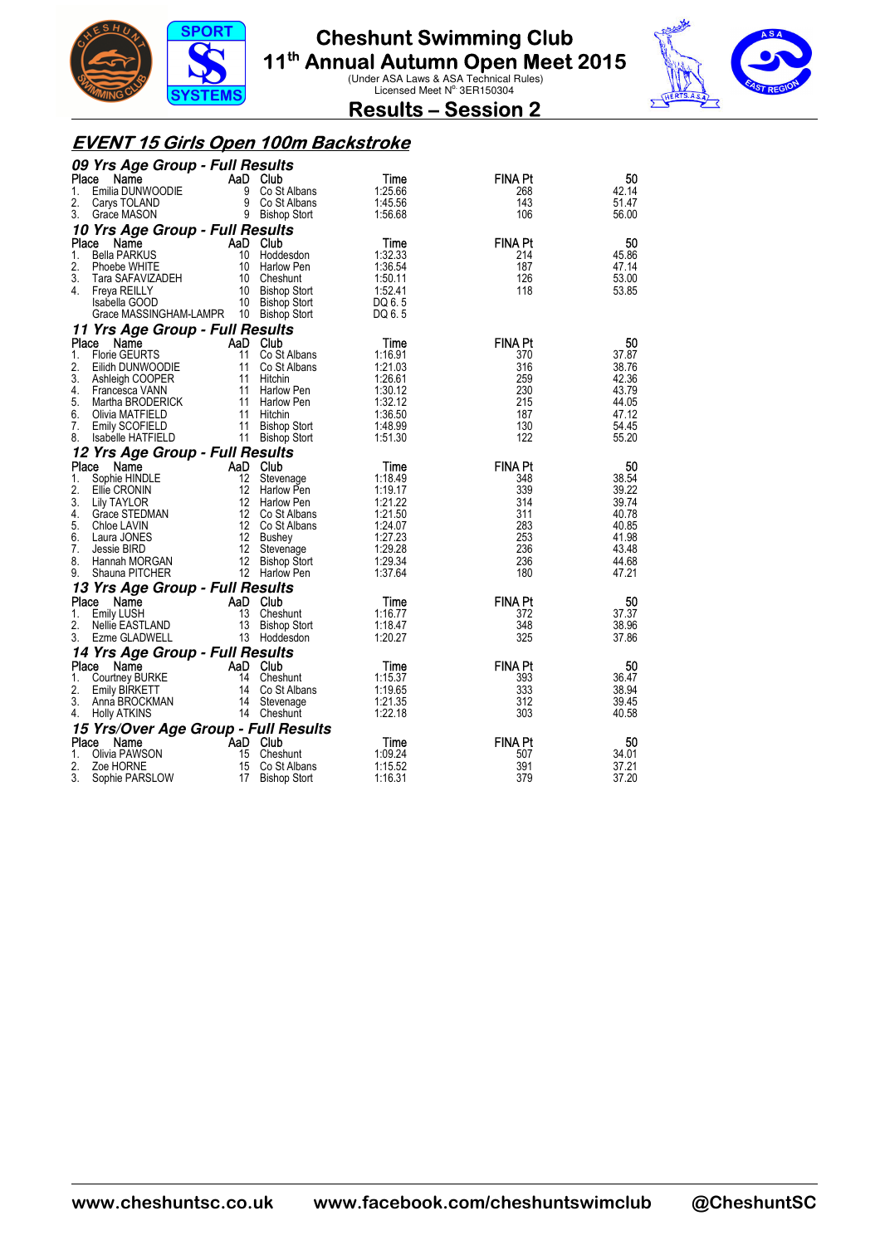



**Results – Session 2** 

#### **EVENT 15 Girls Open 100m Backstroke**

|          | 09 Yrs Age Group - Full Results      |                 |                                |                    |                |                |
|----------|--------------------------------------|-----------------|--------------------------------|--------------------|----------------|----------------|
| Place    | Name                                 |                 | AaD Club                       | Time               | <b>FINA Pt</b> | 50             |
| 1.       | Emilia DUNWOODIE                     | 9               | Co St Albans                   | 1:25.66            | 268            | 42.14          |
| 2.       | Carys TOLAND                         |                 | 9 Co St Albans                 | 1:45.56            | 143            | 51.47          |
| 3.       | Grace MASON                          |                 | 9 Bishop Stort                 | 1:56.68            | 106            | 56.00          |
|          | 10 Yrs Age Group - Full Results      |                 |                                |                    |                |                |
| Place    | Name                                 |                 | AaD Club                       | Time               | <b>FINA Pt</b> | 50             |
| 1.       | <b>Bella PARKUS</b>                  |                 | 10 Hoddesdon                   | 1:32.33            | 214            | 45.86          |
| 2.       | Phoebe WHITE                         |                 | 10 Harlow Pen                  | 1:36.54            | 187            | 47.14          |
| 3.       | Tara SAFAVIZADEH                     |                 | 10 Cheshunt                    | 1:50.11            | 126            | 53.00          |
| 4.       | Freya REILLY                         |                 | 10 Bishop Stort                | 1:52.41            | 118            | 53.85          |
|          | Isabella GOOD                        |                 | 10 Bishop Stort                | DQ 6.5             |                |                |
|          | Grace MASSINGHAM-LAMPR               |                 | 10 Bishop Stort                | DQ 6.5             |                |                |
|          | 11 Yrs Age Group - Full Results      |                 |                                |                    |                |                |
| Place    | Name                                 |                 | AaD Club                       | Time               | <b>FINA Pt</b> | 50             |
| 1.       | <b>Florie GEURTS</b>                 | 11              | Co St Albans                   | 1:16.91            | 370            | 37.87          |
| 2.       | Eilidh DUNWOODIE                     | 11              | Co St Albans                   | 1:21.03            | 316            | 38.76          |
| 3.       | Ashleigh COOPER                      | 11              | Hitchin                        | 1:26.61            | 259            | 42.36          |
| 4.<br>5. | Francesca VANN<br>Martha BRODERICK   | 11              | 11 Harlow Pen                  | 1:30.12<br>1:32.12 | 230<br>215     | 43.79<br>44.05 |
| 6.       | Olivia MATFIELD                      |                 | Harlow Pen<br>11 Hitchin       | 1:36.50            | 187            | 47.12          |
| 7.       | Emily SCOFIELD                       | 11              | <b>Bishop Stort</b>            | 1:48.99            | 130            | 54.45          |
| 8.       | Isabelle HATFIELD                    |                 | 11 Bishop Stort                | 1:51.30            | 122            | 55.20          |
|          | 12 Yrs Age Group - Full Results      |                 |                                |                    |                |                |
| Place    | Name                                 |                 | AaD Club                       |                    | <b>FINA Pt</b> | 50             |
| 1.       |                                      | 12              |                                | Time<br>1:18.49    | 348            | 38.54          |
| 2.       | Sophie HINDLE<br>Ellie CRONIN        | 12 <sup>2</sup> | Stevenage<br><b>Harlow Pen</b> | 1:19.17            | 339            | 39.22          |
| 3.       | Lily TAYLOR                          | 12              | Harlow Pen                     | 1:21.22            | 314            | 39.74          |
| 4.       | Grace STEDMAN                        |                 | 12 Co St Albans                | 1:21.50            | 311            | 40.78          |
| 5.       | Chloe LAVIN                          |                 | 12 Co St Albans                | 1:24.07            | 283            | 40.85          |
| 6.       | Laura JONES                          |                 | 12 Bushey                      | 1:27.23            | 253            | 41.98          |
| 7.       | Jessie BIRD                          | 12              | Stevenage                      | 1:29.28            | 236            | 43.48          |
| 8.       | Hannah MORGAN                        | 12              | <b>Bishop Stort</b>            | 1:29.34            | 236            | 44.68          |
| 9.       | Shauna PITCHER                       |                 | 12 Harlow Pen                  | 1:37.64            | 180            | 47.21          |
|          | 13 Yrs Age Group - Full Results      |                 |                                |                    |                |                |
| Place    | Name                                 |                 | AaD Club                       | Time               | <b>FINA Pt</b> | 50             |
| 1.       | Emily LUSH                           | 13              | Cheshunt                       | 1:16.77            | 372            | 37.37          |
| 2.       | Nellie EASTLAND                      |                 | 13 Bishop Stort                | 1:18.47            | 348            | 38.96          |
| 3.       | Ezme GLADWELL                        |                 | 13 Hoddesdon                   | 1:20.27            | 325            | 37.86          |
|          | 14 Yrs Age Group - Full Results      |                 |                                |                    |                |                |
| Place    | Name                                 |                 | AaD Club                       | Time               | <b>FINA Pt</b> | 50             |
| 1.       | Courtney BURKE                       |                 | 14 Cheshunt                    | 1:15.37            | 393            | 36.47          |
| 2.       | Emily BIRKETT                        |                 | 14 Co St Albans                | 1:19.65            | 333            | 38.94          |
| 3.       | Anna BROCKMAN                        |                 | 14 Stevenage                   | 1:21.35            | 312            | 39.45          |
| 4.       | <b>Holly ATKINS</b>                  |                 | 14 Cheshunt                    | 1:22.18            | 303            | 40.58          |
|          | 15 Yrs/Over Age Group - Full Results |                 |                                |                    |                |                |
| Place    | Name                                 |                 | AaD Club                       | Time               | <b>FINA Pt</b> | 50             |
| 1.       | Olivia PAWSON                        | 15              | Cheshunt                       | 1:09.24            | 507            | 34.01          |
| 2.       | Zoe HORNE                            | 15              | Co St Albans                   | 1:15.52            | 391            | 37.21          |
| 3.       | Sophie PARSLOW                       | 17              | <b>Bishop Stort</b>            | 1:16.31            | 379            | 37.20          |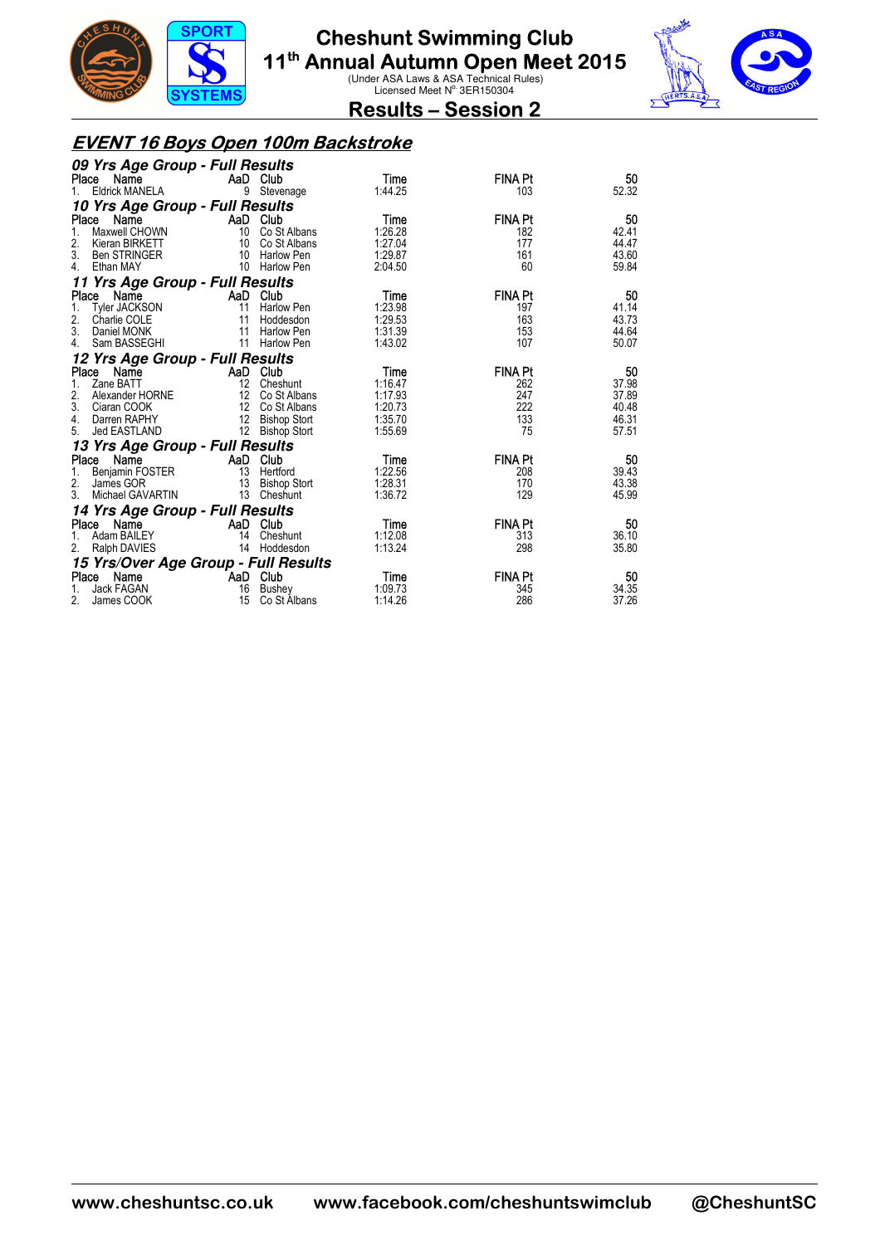



**Results – Session 2** 

#### **EVENT 16 Boys Open 100m Backstroke**

| 09 Yrs Age Group - Full Results      |                 |                     |         |                |       |
|--------------------------------------|-----------------|---------------------|---------|----------------|-------|
| Place Name                           |                 | AaD Club            | Time    | <b>FINA Pt</b> | 50    |
| <b>Eldrick MANELA</b><br>$1_{\cdot}$ |                 | 9 Stevenage         | 1:44.25 | 103            | 52.32 |
| 10 Yrs Age Group - Full Results      |                 |                     |         |                |       |
| Place<br>Name                        |                 | AaD Club            | Time    | <b>FINA Pt</b> | 50    |
| Maxwell CHOWN                        | 10              | Co St Albans        | 1:26.28 | 182            | 42.41 |
| 2.<br>Kieran BIRKETT                 | 10              | Co St Albans        | 1:27.04 | 177            | 44.47 |
| 3.<br><b>Ben STRINGER</b>            |                 | 10 Harlow Pen       | 1:29.87 | 161            | 43.60 |
| Ethan MAY<br>4.                      |                 | 10 Harlow Pen       | 2:04.50 | 60             | 59.84 |
| 11 Yrs Age Group - Full Results      |                 |                     |         |                |       |
| Name<br>Place                        |                 | AaD Club            | Time    | <b>FINA Pt</b> | 50    |
| <b>Tyler JACKSON</b><br>1.           | 11              | Harlow Pen          | 1:23.98 | 197            | 41.14 |
| 2.<br>Charlie COLE                   | 11              | Hoddesdon           | 1:29.53 | 163            | 43.73 |
| 3.<br>Daniel MONK                    | 11              | Harlow Pen          | 1:31.39 | 153            | 44.64 |
| Sam BASSEGHI<br>4.                   |                 | 11 Harlow Pen       | 1:43.02 | 107            | 50.07 |
| 12 Yrs Age Group - Full Results      |                 |                     |         |                |       |
| Place Name                           |                 | AaD Club            | Time    | <b>FINA Pt</b> | 50    |
| Zane BATT<br>1.                      |                 | 12 Cheshunt         | 1:16.47 | 262            | 37.98 |
| Alexander HORNE<br>2.                |                 | 12 Co St Albans     | 1:17.93 | 247            | 37.89 |
| 3.<br>Ciaran COOK                    |                 | 12 Co St Albans     | 1:20.73 | 222            | 40.48 |
| Darren RAPHY<br>4.                   |                 | 12 Bishop Stort     | 1:35.70 | 133            | 46.31 |
| Jed EASTLAND<br>5.                   |                 | 12 Bishop Stort     | 1:55.69 | 75             | 57.51 |
| 13 Yrs Age Group - Full Results      |                 |                     |         |                |       |
| Name<br>Place                        | AaD             | Club                | Time    | <b>FINA Pt</b> | 50    |
| Benjamin FOSTER<br>1.                |                 | 13 Hertford         | 1:22.56 | 208            | 39.43 |
| 2.<br>James GOR                      | $\overline{13}$ | <b>Bishop Stort</b> | 1:28.31 | 170            | 43.38 |
| 3.<br>Michael GAVARTIN               | 13              | Cheshunt            | 1:36.72 | 129            | 45.99 |
| 14 Yrs Age Group - Full Results      |                 |                     |         |                |       |
| Name<br>Place                        |                 | AaD Club            | Time    | <b>FINA Pt</b> | 50    |
| Adam BAILEY<br>1.                    | 14              | Cheshunt            | 1:12.08 | 313            | 36.10 |
| Ralph DAVIES                         |                 | 14 Hoddesdon        | 1:13.24 | 298            | 35.80 |
| 15 Yrs/Over Age Group - Full Results |                 |                     |         |                |       |
| Place Name                           | AaD Club        |                     | Time    | <b>FINA Pt</b> | 50    |
| Jack FAGAN                           | 16              | Bushey              | 1:09.73 | 345            | 34.35 |
| 2.<br>James COOK                     | 15              | Co St Albans        | 1:14.26 | 286            | 37.26 |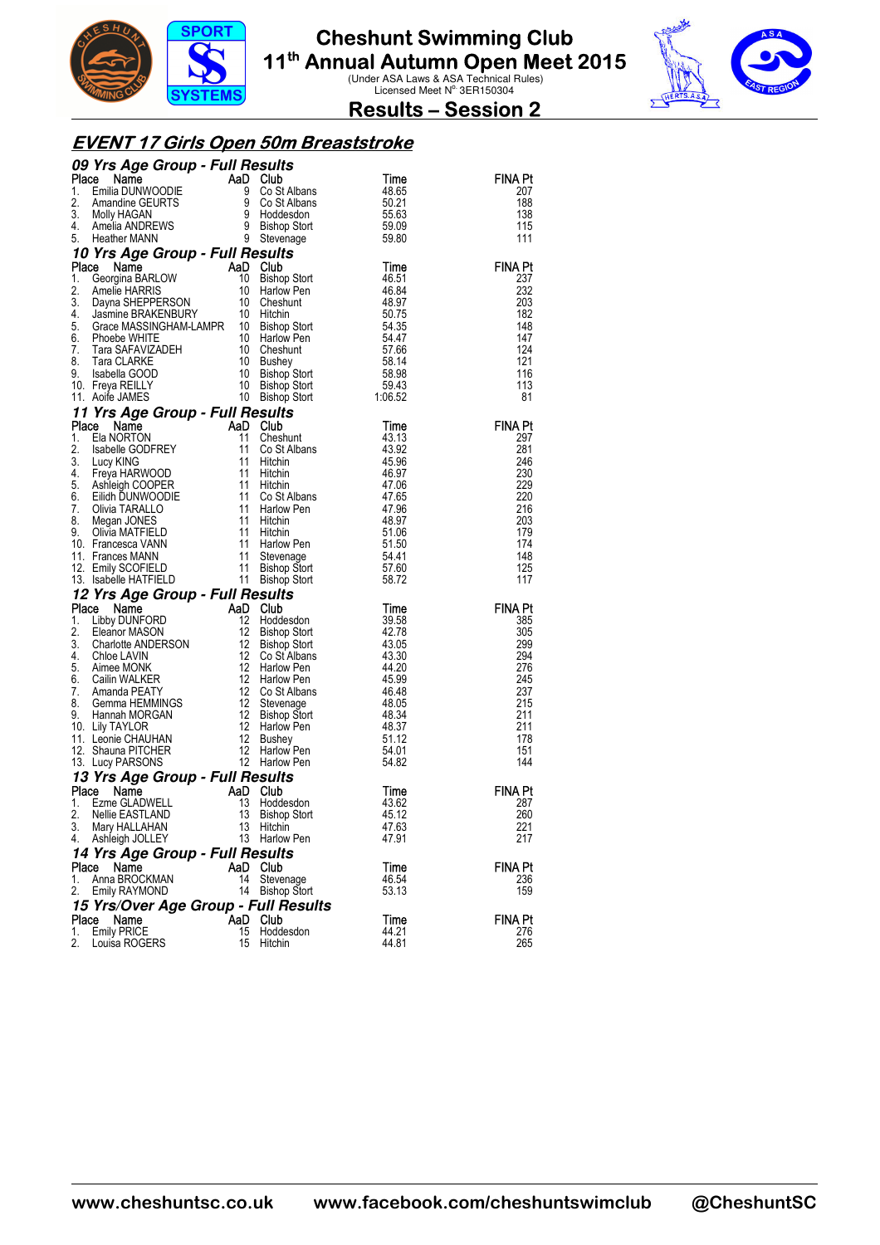



**Results – Session 2** 

#### **EVENT 17 Girls Open 50m Breaststroke**

|             | 09 Yrs Age Group - Full Results                                                                                                                                                                                                                    |              |                                     |                  |                |
|-------------|----------------------------------------------------------------------------------------------------------------------------------------------------------------------------------------------------------------------------------------------------|--------------|-------------------------------------|------------------|----------------|
| Place       | <b>The Manner Community of the Manner Community Constant Constant Constant Constant Constant Constant Constant Constant Constant Constant Constant Constant Constant Constant Constant Constant Constant Constant Constant Const</b>               |              |                                     | Time             | <b>FINA Pt</b> |
| 1.          |                                                                                                                                                                                                                                                    |              | Co St Albans                        | 48.65            | 207            |
| 2.          |                                                                                                                                                                                                                                                    |              | Co St Albans                        | 50.21            | 188            |
| 3.<br>4.    |                                                                                                                                                                                                                                                    |              |                                     | 55.63<br>59.09   | 138<br>115     |
| 5.          |                                                                                                                                                                                                                                                    |              |                                     | 59.80            | 111            |
|             | 10 Yrs Age Group - Full Results                                                                                                                                                                                                                    |              |                                     |                  |                |
| Place       |                                                                                                                                                                                                                                                    | AaD          | Club                                | Time             | <b>FINA Pt</b> |
| 1.          | <b>Ce Name AaD</b><br>Georgina BARLOW 10<br>Amelie HARRIS 10<br>Dayna SHEPPERSON 10<br>Jasmine BRAKENBURY 12                                                                                                                                       |              | <b>Bishop Stort</b>                 | 46.51            | 237            |
| 2.          |                                                                                                                                                                                                                                                    |              | Harlow Pen                          | 46.84            | 232            |
| 3.          |                                                                                                                                                                                                                                                    |              | Cheshunt                            | 48.97            | 203            |
| 4.          |                                                                                                                                                                                                                                                    |              | Hitchin                             | 50.75            | 182            |
| 5.          |                                                                                                                                                                                                                                                    |              | Bishop Stort                        | 54.35            | 148            |
| 6.<br>7.    |                                                                                                                                                                                                                                                    |              | Harlow Pen<br>Cheshunt              | 54.47            | 147<br>124     |
| 8.          |                                                                                                                                                                                                                                                    |              | Bushey                              | 57.66<br>58.14   | 121            |
| 9.          |                                                                                                                                                                                                                                                    |              | Bishop Stort                        | 58.98            | 116            |
|             | 10. Freya REILLY                                                                                                                                                                                                                                   |              | Bishop Stort                        | 59.43            | 113            |
|             | Jasmine BRAKENBURY<br>Grace MASSINGHAM-LAMPR 10<br>Phoebe WHITE<br>Tara SAFAVIZADEH 10<br>Tara CLARKE 10<br>Isabella GOOD 10<br>Freya REILLY 10<br>Aoife JAMES 7<br>11. Aoife JAMES                                                                |              | Bishop Stort                        | 59.43<br>1:06.52 | 81             |
|             | 11 Yrs Age Group - Full Results                                                                                                                                                                                                                    |              |                                     |                  |                |
| Place       | Comparison of the Manus Company of the Manus Company of the Manus Company of the Manus Company of the Manus Company of the Manus Company of the Manus Company of the Manus Company of the Manus Company of the Manus Company o                     |              | Club                                | Time             | <b>FINA Pt</b> |
| 1.          |                                                                                                                                                                                                                                                    |              | Cheshunt                            | 43.13            | 297            |
| 2.          |                                                                                                                                                                                                                                                    |              | Co St Albans                        | 43.92            | 281            |
| 3.<br>4.    |                                                                                                                                                                                                                                                    |              | Hitchin                             | 45.96            | 246<br>230     |
|             |                                                                                                                                                                                                                                                    |              | Hitchin<br>Hitchin                  | 46.97<br>47.06   | 229            |
|             |                                                                                                                                                                                                                                                    |              | Co St Albans                        | 47.65            | 220            |
|             |                                                                                                                                                                                                                                                    |              | Harlow Pen                          | 47.96            | 216            |
|             |                                                                                                                                                                                                                                                    |              | Hitchin                             | 48.97            | 203            |
|             |                                                                                                                                                                                                                                                    |              | Hitchin                             | 51.06            | 179            |
|             |                                                                                                                                                                                                                                                    |              | Harlow Pen                          | 51.50            | 174            |
|             |                                                                                                                                                                                                                                                    |              | Stevenage                           | 54.41            | 148<br>125     |
|             | 4. Freya HARWOODE<br>5. Ashleigh COOPER<br>6. Eilidh DUNWOODIE<br>7. Olivia TARALLO<br>8. Megan JONES<br>9. Olivia MATFIELD<br>9. Olivia MATFIELD<br>11 Frances MANN<br>11 Frances MANN<br>11 TRIN'S SCOFIELD<br>11 13. Isabelle HATFIELD<br>11 11 |              | Bishop Stort<br><b>Bishop Stort</b> | 57.60<br>58.72   | 117            |
|             | 12 Yrs Age Group - Full Results                                                                                                                                                                                                                    |              |                                     |                  |                |
| Place       | Name                                                                                                                                                                                                                                               | AaD          | <b>Club</b>                         | Time             | <b>FINA Pt</b> |
| 1.          | Libby DUNFORD                                                                                                                                                                                                                                      |              |                                     |                  |                |
| 2.          |                                                                                                                                                                                                                                                    |              |                                     |                  |                |
|             | Eleanor MASON                                                                                                                                                                                                                                      | 12<br>12     | Hoddesdon                           | 39.58<br>42.78   | 385<br>305     |
| 3.          |                                                                                                                                                                                                                                                    |              | <b>Bishop Stort</b><br>Bishop Stort | 43.05            | 299            |
| 4.          |                                                                                                                                                                                                                                                    |              | Co St Albans                        | 43.30            | 294            |
| 5.          |                                                                                                                                                                                                                                                    |              | Harlow Pen                          | 44.20            | 276            |
| 6.          |                                                                                                                                                                                                                                                    |              | Harlow Pen                          | 45.99            | 245            |
| 7.          | Charlotte ANDERSON<br>Charlotte ANDERSON<br>21 Chloe LAVIN<br>22 Cailin WALKER<br>22 Amanda PEATY<br>21 2<br>Amanda PEATY                                                                                                                          | 12           | Co St Albans                        | 46.48            | 237            |
| 8.          | Gemma HEMMINGS                                                                                                                                                                                                                                     | -12          | Stevenage                           | 48.05            | 215            |
| 9.          | Hannah MORGAN<br>10. Lily TAYLOR                                                                                                                                                                                                                   | - 12<br>- 12 | Bishop Stort<br>Harlow Pen          | 48.34<br>48.37   | 211<br>211     |
|             | 11. Leonie CHAUHAN                                                                                                                                                                                                                                 | - 12         | <b>Bushey</b>                       | 51.12            | 178            |
|             | 12. Shauna PITCHER                                                                                                                                                                                                                                 | 12           | Harlow Pen                          | 54.01            | 151            |
|             | $\mathbf{S}$<br>13. Lucy PARSONS                                                                                                                                                                                                                   | 12           | <b>Harlow Pen</b>                   | 54.82            | 144            |
|             | 13 Yrs Age Group - Full Results                                                                                                                                                                                                                    |              |                                     |                  |                |
| Place       | Name                                                                                                                                                                                                                                               | AaD          | Club                                | Time             | FINA Pt        |
| 1.          | Ezme GLADWELL                                                                                                                                                                                                                                      | 13           | Hoddesdon                           | 43.62            | 287            |
| 2.          | Nellie EASTLAND                                                                                                                                                                                                                                    | 13           | <b>Bishop Stort</b>                 | 45.12            | 260            |
| 3.<br>4.    | Mary HALLAHAN                                                                                                                                                                                                                                      | 13           | Hitchin<br>13 Harlow Pen            | 47.63<br>47.91   | 221<br>217     |
|             | Ashleigh JOLLEY                                                                                                                                                                                                                                    |              |                                     |                  |                |
|             | 14 Yrs Age Group - Full Results                                                                                                                                                                                                                    |              |                                     | Time             |                |
| Place<br>1. | Name<br>Anna BROCKMAN                                                                                                                                                                                                                              | AaD<br>14    | Club<br>Stevenage                   | 46.54            | FINA Pt<br>236 |
| 2.          | Emily RAYMOND                                                                                                                                                                                                                                      |              | 14 Bishop Stort                     | 53.13            | 159            |
|             |                                                                                                                                                                                                                                                    |              |                                     |                  |                |
| Place       | 15 Yrs/Over Age Group - Full Results<br>Name                                                                                                                                                                                                       |              | AaD Club                            | Time             | <b>FINA Pt</b> |
| 1.<br>2.    | <b>Emily PRICE</b><br>Louisa ROGERS                                                                                                                                                                                                                | 15<br>15     | Hoddesdon                           | 44.21<br>44.81   | 276<br>265     |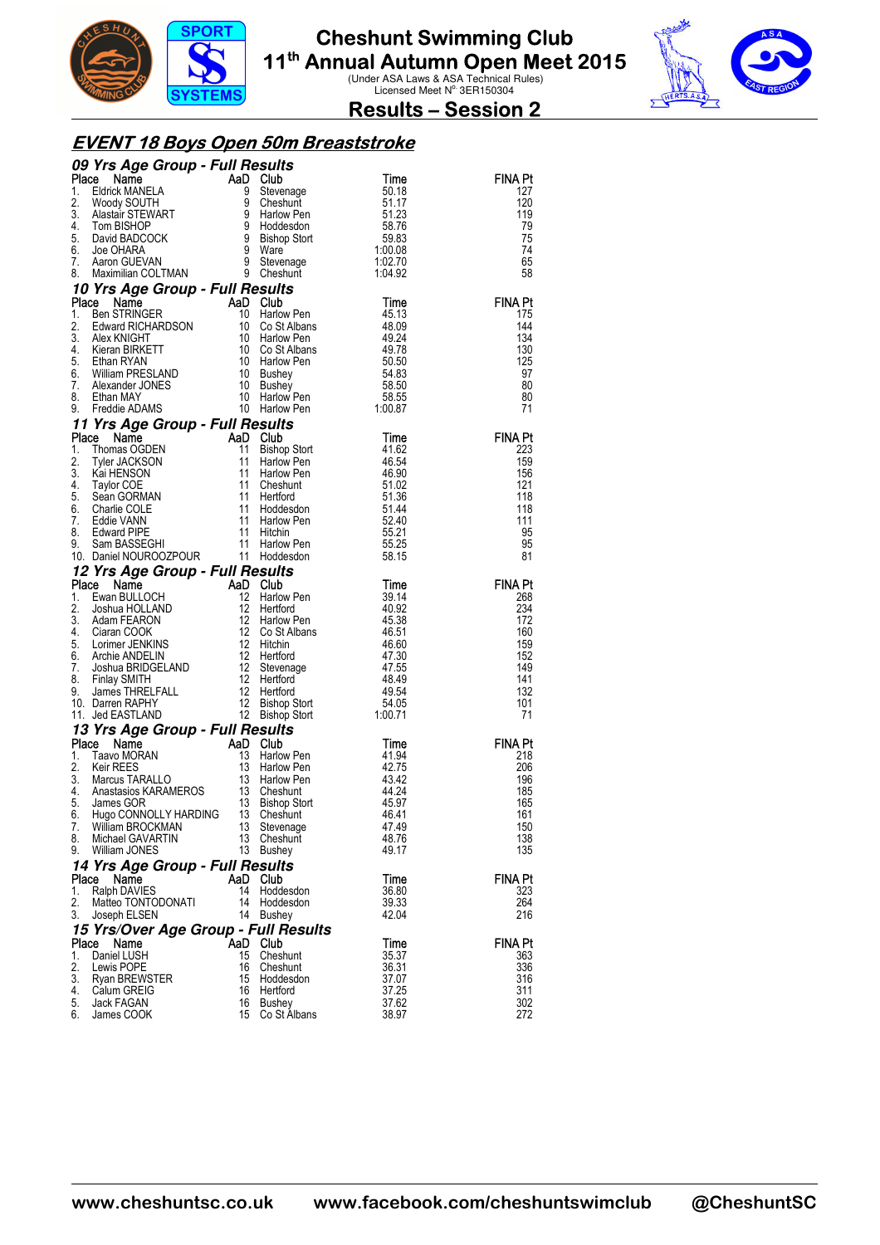



**Results – Session 2** 

### **EVENT 18 Boys Open 50m Breaststroke**

|          | 09 Yrs Age Group - Full Results<br>Compare Solution of the MANELA<br>Eldrick MANELA<br>Woody SOUTH 9 Stevenage<br>Time Master STEWART<br>Tom BISHOP 9 Holdesdon 58.76<br>David BADCOCK 9 Bishop Stort 59.83<br>Joe OHARA 9 Ware 1:00.08<br>Maximilian COLTMAN 9 Stevenage 1:02.                                                                                                                                                                                                                  |          |                                                                   |                                                                      |                |
|----------|--------------------------------------------------------------------------------------------------------------------------------------------------------------------------------------------------------------------------------------------------------------------------------------------------------------------------------------------------------------------------------------------------------------------------------------------------------------------------------------------------|----------|-------------------------------------------------------------------|----------------------------------------------------------------------|----------------|
| Place    |                                                                                                                                                                                                                                                                                                                                                                                                                                                                                                  |          |                                                                   |                                                                      | <b>FINA Pt</b> |
| 1.       |                                                                                                                                                                                                                                                                                                                                                                                                                                                                                                  |          |                                                                   |                                                                      | 127            |
| 2.<br>3. |                                                                                                                                                                                                                                                                                                                                                                                                                                                                                                  |          |                                                                   |                                                                      | 120<br>119     |
| 4.       |                                                                                                                                                                                                                                                                                                                                                                                                                                                                                                  |          |                                                                   |                                                                      | 79             |
| 5.       |                                                                                                                                                                                                                                                                                                                                                                                                                                                                                                  |          |                                                                   |                                                                      | 75             |
| 6.       |                                                                                                                                                                                                                                                                                                                                                                                                                                                                                                  |          |                                                                   |                                                                      | 74             |
| 7.       |                                                                                                                                                                                                                                                                                                                                                                                                                                                                                                  |          |                                                                   |                                                                      | 65             |
| 8.       |                                                                                                                                                                                                                                                                                                                                                                                                                                                                                                  |          |                                                                   |                                                                      | 58             |
|          | 10 Yrs Age Group - Full Results<br>Waximian COLTIWAN<br><b>Yrs Age Group - Full Results</b><br><b>Ben STRINGER</b><br><b>AAD COSTADER</b><br><b>AAD Harlow Pen</b><br>AAD Harlow Pen<br>ABO COSTADER<br>ABO Harlow Pen<br>49.24<br>ABO COSTADER<br>49.24<br>ABO COSTADER<br>49.74<br>Ethan RYAN<br>Ethan RYAN 10                                                                                                                                                                                 |          |                                                                   |                                                                      |                |
| Place    |                                                                                                                                                                                                                                                                                                                                                                                                                                                                                                  |          |                                                                   |                                                                      | <b>FINA Pt</b> |
| 1.<br>2. |                                                                                                                                                                                                                                                                                                                                                                                                                                                                                                  |          |                                                                   |                                                                      | 175<br>144     |
| 3.       |                                                                                                                                                                                                                                                                                                                                                                                                                                                                                                  |          |                                                                   |                                                                      | 134            |
| 4.       |                                                                                                                                                                                                                                                                                                                                                                                                                                                                                                  |          |                                                                   |                                                                      | 130            |
| 5.       |                                                                                                                                                                                                                                                                                                                                                                                                                                                                                                  |          |                                                                   |                                                                      | 125            |
| 6.       |                                                                                                                                                                                                                                                                                                                                                                                                                                                                                                  |          |                                                                   |                                                                      | 97             |
| 7.       |                                                                                                                                                                                                                                                                                                                                                                                                                                                                                                  |          |                                                                   |                                                                      | 80             |
| 8.<br>9. |                                                                                                                                                                                                                                                                                                                                                                                                                                                                                                  |          |                                                                   |                                                                      | 80<br>71       |
|          | 9. Freque ADAMS<br><b>11 Yrs Age Group - Full Results</b><br><b>11 Yrs Age Group - Full Results</b><br><b>1.</b> Thomas OGDEN<br>11 Bishop Stot<br>2. Tyler JACKSON<br>11 Harlow Pen<br>3. Kai HENSON<br>11 Harlow Pen<br>4. Taylor COE 11 Hord<br>6. Charlie COL                                                                                                                                                                                                                                |          | Harlow rent<br><b>SUIIS</b><br>Club<br>Bishop Stort<br>Harlow Pen |                                                                      |                |
|          |                                                                                                                                                                                                                                                                                                                                                                                                                                                                                                  |          |                                                                   | Time                                                                 | <b>FINA Pt</b> |
|          |                                                                                                                                                                                                                                                                                                                                                                                                                                                                                                  |          |                                                                   | 41.62                                                                | 223            |
|          |                                                                                                                                                                                                                                                                                                                                                                                                                                                                                                  |          |                                                                   |                                                                      | 159            |
|          |                                                                                                                                                                                                                                                                                                                                                                                                                                                                                                  |          |                                                                   |                                                                      | 156            |
|          |                                                                                                                                                                                                                                                                                                                                                                                                                                                                                                  |          |                                                                   |                                                                      | 121            |
|          |                                                                                                                                                                                                                                                                                                                                                                                                                                                                                                  |          |                                                                   |                                                                      | 118            |
|          |                                                                                                                                                                                                                                                                                                                                                                                                                                                                                                  |          |                                                                   |                                                                      | 118<br>111     |
|          |                                                                                                                                                                                                                                                                                                                                                                                                                                                                                                  |          |                                                                   |                                                                      | 95             |
|          |                                                                                                                                                                                                                                                                                                                                                                                                                                                                                                  |          |                                                                   | 41.62<br>46.54<br>46.90<br>51.02<br>51.36<br>51.44<br>52.21<br>55.25 | 95             |
|          | 10. Daniel NOUROOZPOUR 11 Hoddesdon                                                                                                                                                                                                                                                                                                                                                                                                                                                              |          |                                                                   | 58.15                                                                | 81             |
|          | 12 Yrs Age Group - Full Results                                                                                                                                                                                                                                                                                                                                                                                                                                                                  |          |                                                                   |                                                                      |                |
| Place    |                                                                                                                                                                                                                                                                                                                                                                                                                                                                                                  |          |                                                                   |                                                                      | <b>FINA Pt</b> |
| 1.       |                                                                                                                                                                                                                                                                                                                                                                                                                                                                                                  |          |                                                                   |                                                                      | 268            |
| 2.<br>3. |                                                                                                                                                                                                                                                                                                                                                                                                                                                                                                  |          |                                                                   |                                                                      | 234<br>172     |
| 4.       |                                                                                                                                                                                                                                                                                                                                                                                                                                                                                                  |          |                                                                   |                                                                      | 160            |
| 5.       |                                                                                                                                                                                                                                                                                                                                                                                                                                                                                                  |          |                                                                   |                                                                      | 159            |
| 6.       |                                                                                                                                                                                                                                                                                                                                                                                                                                                                                                  |          |                                                                   |                                                                      | 152            |
| 7.       |                                                                                                                                                                                                                                                                                                                                                                                                                                                                                                  |          |                                                                   |                                                                      | 149            |
| 8.<br>9. |                                                                                                                                                                                                                                                                                                                                                                                                                                                                                                  |          |                                                                   |                                                                      | 141<br>132     |
|          | 10. Darren RAPHY                                                                                                                                                                                                                                                                                                                                                                                                                                                                                 |          |                                                                   |                                                                      | 101            |
|          | 11. Jed EASTLAND                                                                                                                                                                                                                                                                                                                                                                                                                                                                                 |          |                                                                   |                                                                      | 71             |
|          | 13 Yrs Age Group - Full Results                                                                                                                                                                                                                                                                                                                                                                                                                                                                  |          |                                                                   |                                                                      |                |
| Place    | Daniel NOUROUROUR 2019 - <b>Full Results</b><br>ace Name AaD Club Time<br>Ewan BULLOCH 12 Harlow Pen 39.14<br>Joshua HOLLAND 12 Harlow Pen 40.38<br>Ciaran COOK 12 Co St Albans<br>Ciaran COOK 12 Co St Albans<br>Ciaran COOK 12 Co St Albans<br><br>TTS Age Group - Furn Hesuris<br>Taavo MORAN 13 Harlow Pen<br>Taavo MORAN 13 Harlow Pen<br>Keir REES 13 Harlow Pen<br>Marcus TARALLO 13 Harlow Pen<br>Anastasios KARAMEROS 13 Cheshunt<br>James GOR 13 Bishop Stort<br>Hugo CONNOLLY HARDING |          |                                                                   |                                                                      | <b>FINA Pt</b> |
| 1.       |                                                                                                                                                                                                                                                                                                                                                                                                                                                                                                  |          |                                                                   | <b>Time</b><br>41.94<br>42.75                                        | 218            |
| 2.       |                                                                                                                                                                                                                                                                                                                                                                                                                                                                                                  |          |                                                                   |                                                                      | 206            |
| 3.<br>4. |                                                                                                                                                                                                                                                                                                                                                                                                                                                                                                  |          |                                                                   | 43.42<br>44.24                                                       | 196<br>185     |
| 5.       |                                                                                                                                                                                                                                                                                                                                                                                                                                                                                                  |          |                                                                   | 45.97                                                                | 165            |
| 6.       |                                                                                                                                                                                                                                                                                                                                                                                                                                                                                                  |          |                                                                   | 46.41                                                                | 161            |
| 7.       | William BROCKMAN                                                                                                                                                                                                                                                                                                                                                                                                                                                                                 | 13       | Stevenage                                                         | 47.49                                                                | 150            |
| 8.       | Michael GAVARTIN                                                                                                                                                                                                                                                                                                                                                                                                                                                                                 | 13       | Cheshunt                                                          | 48.76                                                                | 138            |
| 9.       | William JONES                                                                                                                                                                                                                                                                                                                                                                                                                                                                                    |          | 13 Bushey                                                         | 49.17                                                                | 135            |
|          | 14 Yrs Age Group - Full Results                                                                                                                                                                                                                                                                                                                                                                                                                                                                  |          |                                                                   |                                                                      |                |
| Place    | Name                                                                                                                                                                                                                                                                                                                                                                                                                                                                                             | AaD Club |                                                                   | Time                                                                 | <b>FINA Pt</b> |
| 1.<br>2. | Ralph DAVIES<br>Matteo TONTODONATI                                                                                                                                                                                                                                                                                                                                                                                                                                                               | 14<br>14 | Hoddesdon<br>Hoddesdon                                            | 36.80<br>39.33                                                       | 323<br>264     |
| 3.       | Joseph ELSEN                                                                                                                                                                                                                                                                                                                                                                                                                                                                                     |          | 14 Bushey                                                         | 42.04                                                                | 216            |
|          | 15 Yrs/Over Age Group - Full Results                                                                                                                                                                                                                                                                                                                                                                                                                                                             |          |                                                                   |                                                                      |                |
| Place    | Name                                                                                                                                                                                                                                                                                                                                                                                                                                                                                             | AaD Club |                                                                   | Time                                                                 | FINA Pt        |
| 1.       | Daniel LUSH                                                                                                                                                                                                                                                                                                                                                                                                                                                                                      | 15       | Cheshunt                                                          | 35.37                                                                | 363            |
| 2.       | Lewis POPE                                                                                                                                                                                                                                                                                                                                                                                                                                                                                       | 16       | Cheshunt                                                          | 36.31                                                                | 336            |
| 3.       | <b>Ryan BREWSTER</b>                                                                                                                                                                                                                                                                                                                                                                                                                                                                             | 15       | Hoddesdon                                                         | 37.07                                                                | 316            |
| 4.<br>5. | Calum GREIG<br><b>Jack FAGAN</b>                                                                                                                                                                                                                                                                                                                                                                                                                                                                 | 16<br>16 | Hertford<br>Bushey                                                | 37.25<br>37.62                                                       | 311<br>302     |
| 6.       | James COOK                                                                                                                                                                                                                                                                                                                                                                                                                                                                                       | 15       | Co St Albans                                                      | 38.97                                                                | 272            |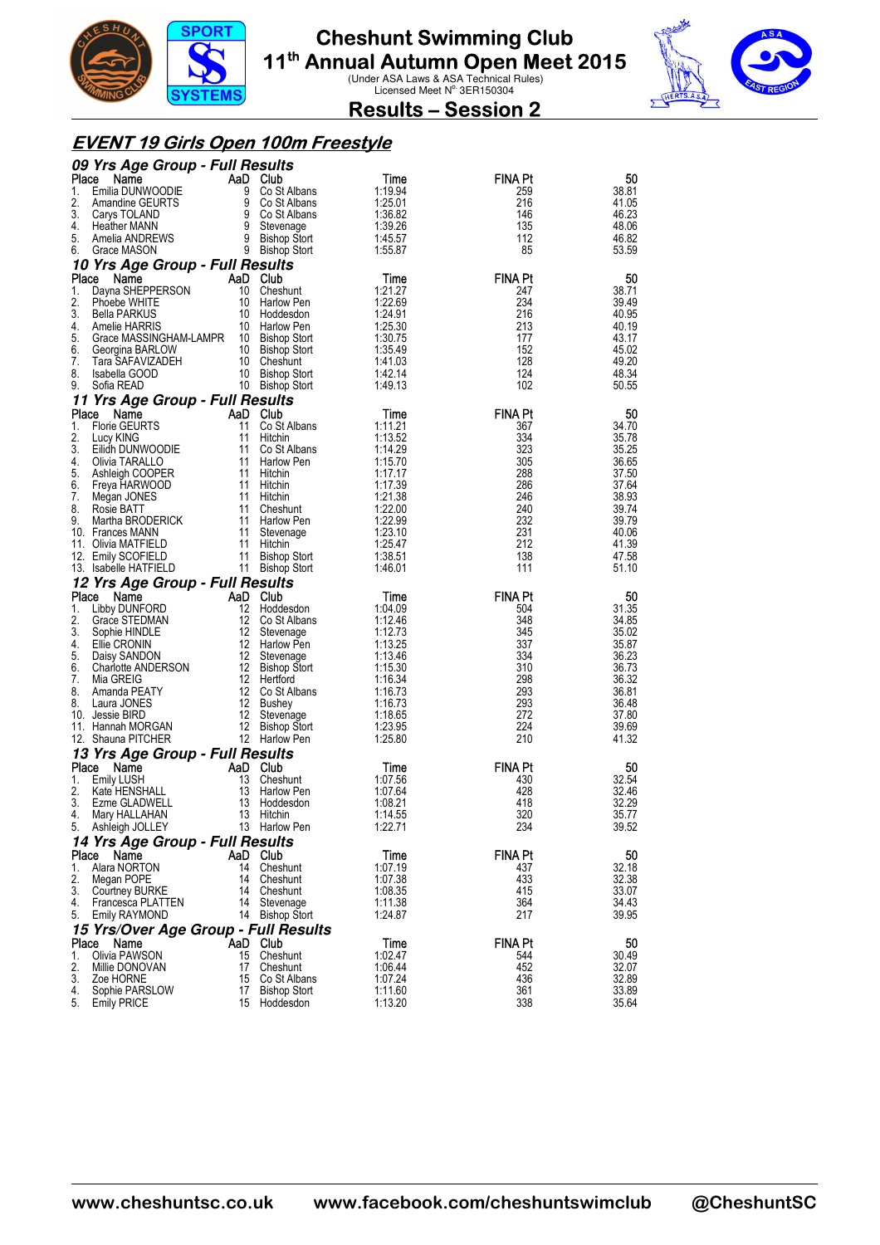



**Results – Session 2** 

#### **EVENT 19 Girls Open 100m Freestyle**

| 09 Yrs Age Group - Full Results                                   |          |                                                                                                    |                    |                       |                |
|-------------------------------------------------------------------|----------|----------------------------------------------------------------------------------------------------|--------------------|-----------------------|----------------|
| Place<br>Name                                                     |          | Aa<br>9 Co St Albans<br>9 Co St Albans<br>9 Co St Albans<br>9 Stevenage<br>9 Bishop Stort<br>chort | Time               | <b>FINA Pt</b>        | 50             |
| Emilia DUNWOODIE<br>1.<br>2.                                      |          |                                                                                                    | 1:19.94<br>1:25.01 | 259<br>216            | 38.81          |
| Amandine GEURTS<br>3.<br>Carys TOLAND                             |          |                                                                                                    | 1:36.82            | 146                   | 41.05<br>46.23 |
| 4.<br><b>Heather MANN</b>                                         |          |                                                                                                    | 1:39.26            | 135                   | 48.06          |
| Amelia ANDREWS 9 Bishop Stort<br>Grace MASON 9 Bishop Stort<br>5. |          |                                                                                                    | 1:45.57            | 112                   | 46.82          |
| 6.<br>Grace MASON                                                 |          | 9 Bishop Stort                                                                                     | 1:55.87            | 85                    | 53.59          |
| 10 Yrs Age Group - Full Results                                   |          |                                                                                                    |                    |                       |                |
| Place<br>Name<br>Dayna SHEPPERSON<br>1.                           |          | AaD Club<br>10 Cheshunt                                                                            | Time<br>1:21.27    | <b>FINA Pt</b><br>247 | 50<br>38.71    |
| 2.<br>Phoebe WHITE                                                |          | 10 Harlow Pen                                                                                      | 1:22.69            | 234                   | 39.49          |
| 3.<br>Bella PARKUS                                                |          | 10 Hoddesdon                                                                                       | 1:24.91            | 216                   | 40.95          |
| 4.<br>Amelie HARRIS                                               |          | 10 Harlow Pen                                                                                      | 1:25.30            | 213                   | 40.19          |
| 5.<br>Grace MASSINGHAM-LAMPR 10 Bishop Stort<br>6.                |          | 10 Bishop Stort                                                                                    | 1:30.75<br>1:35.49 | 177<br>152            | 43.17<br>45.02 |
| Georgina BARLOW<br>7.<br>Tara SAFAVIZADEH                         |          | 10 Cheshunt                                                                                        | 1:41.03            | 128                   | 49.20          |
| 8.<br>Isabella GOOD                                               |          | 10 Bishop Stort                                                                                    | 1:42.14            | 124                   | 48.34          |
| 9.<br>Sofia READ                                                  |          | 10 Bishop Stort                                                                                    | 1:49.13            | 102                   | 50.55          |
| 11 Yrs Age Group - Full Results                                   |          |                                                                                                    |                    |                       |                |
| Place<br>Name                                                     | 11       | AaD Club                                                                                           | Time               | <b>FINA Pt</b>        | 50             |
| <b>Florie GEURTS</b><br>1.<br>2.<br>Lucy KING                     | 11       | Co St Albans<br>Hitchin                                                                            | 1:11.21<br>1:13.52 | 367<br>334            | 34.70<br>35.78 |
| 3.<br>Eilidh DUNWOODIE                                            | 11       | Co St Albans                                                                                       | 1:14.29            | 323                   | 35.25          |
| 4.<br>Olivia TARALLO                                              |          | 11 Harlow Pen                                                                                      | 1:15.70            | 305                   | 36.65          |
| 5.<br>Ashleigh COOPER                                             |          | 11 Hitchin                                                                                         | 1:17.17            | 288                   | 37.50          |
| 6.<br>Freya HARWOOD<br>7.<br>Megan JONES                          |          | 11 Hitchin<br>11 Hitchin                                                                           | 1:17.39<br>1:21.38 | 286<br>246            | 37.64<br>38.93 |
| 8.<br>Rosie BATT                                                  |          | 11 Cheshunt                                                                                        | 1:22.00            | 240                   | 39.74          |
| 9.<br>Martha BRODERICK                                            | 11       | Harlow Pen                                                                                         | 1:22.99            | 232                   | 39.79          |
| 10. Frances MANN                                                  | 11       | Stevenage                                                                                          | 1:23.10            | 231                   | 40.06          |
| 11. Olivia MATFIELD<br>12. Emily SCOFIELD                         | 11       | 11 Hitchin<br><b>Bishop Stort</b>                                                                  | 1:25.47<br>1:38.51 | 212<br>138            | 41.39<br>47.58 |
| 13. Isabelle HATFIELD                                             |          | 11 Bishop Stort                                                                                    | 1:46.01            | 111                   | 51.10          |
|                                                                   |          |                                                                                                    |                    |                       |                |
|                                                                   |          |                                                                                                    |                    |                       |                |
| 12 Yrs Age Group - Full Results<br>Place<br>Name                  |          | AaD Club                                                                                           | Time               | <b>FINA Pt</b>        | 50             |
| 1.<br>Libby DUNFORD                                               | 12       | Hoddesdon                                                                                          | 1:04.09            | 504                   | 31.35          |
| 2.<br>Grace STEDMAN                                               |          | 12 Co St Albans                                                                                    | 1:12.46            | 348                   | 34.85          |
| 3.<br>Sophie HINDLE                                               |          | 12 Stevenage                                                                                       | 1:12.73            | 345                   | 35.02          |
| 4.<br>Ellie CRONIN<br>5.<br>Daisy SANDON                          |          | 12 Harlow Pen<br>12 Stevenage                                                                      | 1:13.25<br>1:13.46 | 337<br>334            | 35.87<br>36.23 |
| 6.<br>Charlotte ANDERSON                                          |          | 12 Bishop Stort                                                                                    | 1:15.30            | 310                   | 36.73          |
| 7.<br>Mia GREIG                                                   |          | 12 Hertford                                                                                        | 1:16.34            | 298                   | 36.32          |
| 8.<br>Amanda PEATY<br>8.                                          |          | 12 Co St Albans                                                                                    | 1:16.73            | 293                   | 36.81          |
| Laura JONES<br>10. Jessie BIRD                                    | 12<br>12 | Bushey<br>Stevenage                                                                                | 1:16.73<br>1:18.65 | 293<br>272            | 36.48<br>37.80 |
| 11. Hannah MORGAN                                                 |          | 12 Bishop Stort                                                                                    | 1:23.95            | 224                   | 39.69          |
| 12. Shauna PITCHER                                                |          | 12 Harlow Pen                                                                                      | 1:25.80            | 210                   | 41.32          |
| 13 Yrs Age Group - Full Results                                   |          |                                                                                                    |                    |                       |                |
| Place<br>Name<br>1.                                               |          | AaD Club                                                                                           | Time               | <b>FINA Pt</b>        | 50             |
| <b>Emily LUSH</b><br>2.<br>Kate HENSHALL                          | 13       | Cheshunt<br>13 Harlow Pen                                                                          | 1:07.56<br>1:07.64 | 430<br>428            | 32.54<br>32.46 |
| 3.<br>Ezme GLADWELL                                               | 13       | Hoddesdon                                                                                          | 1:08.21            | 418                   | 32.29          |
| 4.<br>Mary HALLAHAN                                               | 13       | Hitchin                                                                                            | 1:14.55            | 320                   | 35.77          |
| Ashleigh JOLLEY<br>5.                                             |          | 13 Harlow Pen                                                                                      | 1:22.71            | 234                   | 39.52          |
| 14 Yrs Age Group - Full Results<br>Name                           |          |                                                                                                    |                    |                       |                |
| Place<br>1.<br>Alara NORTON                                       | 14       | AaD Club<br>Cheshunt                                                                               | Time<br>1:07.19    | <b>FINA Pt</b><br>437 | 50<br>32.18    |
| 2.<br>Megan POPE                                                  | 14       | Cheshunt                                                                                           | 1:07.38            | 433                   | 32.38          |
| 3.<br>Courtney BURKE                                              | 14       | Cheshunt                                                                                           | 1:08.35            | 415                   | 33.07          |
| 4.<br>Francesca PLATTEN<br>5.<br>Emily RAYMOND                    | 14<br>14 | Stevenage<br><b>Bishop Stort</b>                                                                   | 1:11.38<br>1:24.87 | 364<br>217            | 34.43<br>39.95 |
|                                                                   |          |                                                                                                    |                    |                       |                |
| 15 Yrs/Over Age Group - Full Results<br>Place<br>Name             |          | AaD Club                                                                                           | Time               | FINA Pt               | 50             |
| 1.<br>Olivia PAWSON                                               | 15       | Cheshunt                                                                                           | 1:02.47            | 544                   | 30.49          |
| 2.<br>Millie DONOVAN                                              | 17       | Cheshunt                                                                                           | 1:06.44            | 452                   | 32.07          |
| 3.<br>Zoe HORNE<br>4.<br>Sophie PARSLOW                           | 15<br>17 | Co St Albans<br><b>Bishop Stort</b>                                                                | 1:07.24<br>1:11.60 | 436<br>361            | 32.89<br>33.89 |